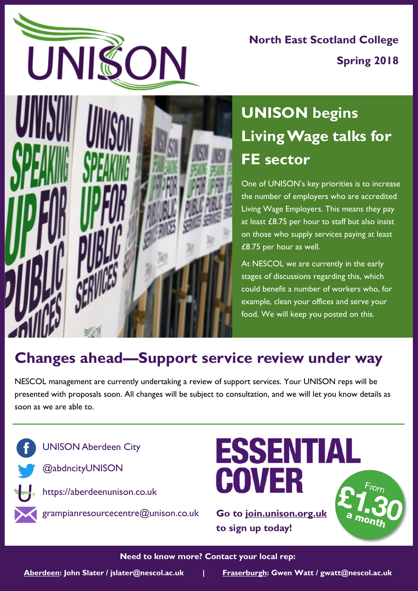

**North East Scotland College Spring 2018**



# **UNISON begins Living Wage talks for FE sector**

One of UNISON's key priorities is to increase the number of employers who are accredited Living Wage Employers. This means they pay at least £8.75 per hour to staff but also insist on those who supply services paying at least £8.75 per hour as well.

At NESCOL we are currently in the early stages of discussions regarding this, which could benefit a number of workers who, for example, clean your offices and serve your food. We will keep you posted on this.

### **Changes ahead—Support service review under way**

NESCOL management are currently undertaking a review of support services. Your UNISON reps will be presented with proposals soon. All changes will be subject to consultation, and we will let you know details as soon as we are able to.



**ESSENTIAL COVER** 

a month

**Go to join.unison.org.uk to sign up today!**

### **Need to know more? Contact your local rep:**